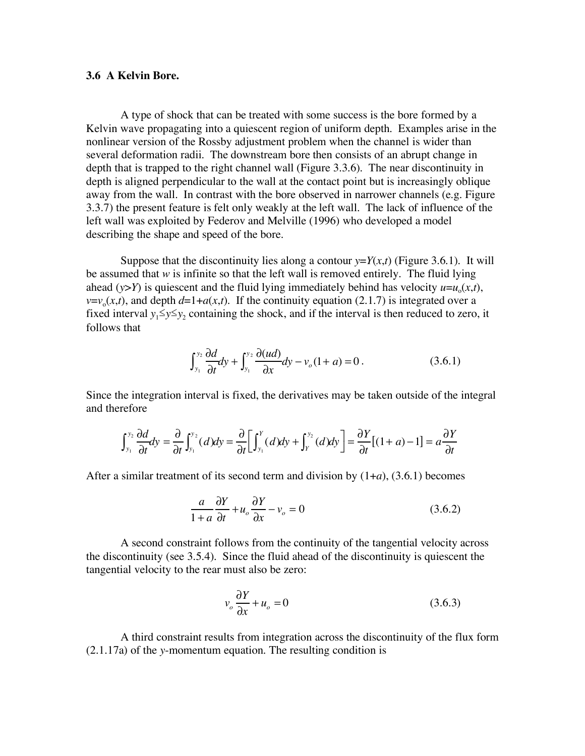## **3.6 A Kelvin Bore.**

A type of shock that can be treated with some success is the bore formed by a Kelvin wave propagating into a quiescent region of uniform depth. Examples arise in the nonlinear version of the Rossby adjustment problem when the channel is wider than several deformation radii. The downstream bore then consists of an abrupt change in depth that is trapped to the right channel wall (Figure 3.3.6). The near discontinuity in depth is aligned perpendicular to the wall at the contact point but is increasingly oblique away from the wall. In contrast with the bore observed in narrower channels (e.g. Figure 3.3.7) the present feature is felt only weakly at the left wall. The lack of influence of the left wall was exploited by Federov and Melville (1996) who developed a model describing the shape and speed of the bore.

Suppose that the discontinuity lies along a contour  $y=Y(x,t)$  (Figure 3.6.1). It will be assumed that  $w$  is infinite so that the left wall is removed entirely. The fluid lying ahead ( $y > Y$ ) is quiescent and the fluid lying immediately behind has velocity  $u = u_0(x,t)$ ,  $v=v<sub>o</sub>(x,t)$ , and depth  $d=1+a(x,t)$ . If the continuity equation (2.1.7) is integrated over a fixed interval  $y_1 \le y \le y_2$  containing the shock, and if the interval is then reduced to zero, it follows that

$$
\int_{y_1}^{y_2} \frac{\partial d}{\partial t} dy + \int_{y_1}^{y_2} \frac{\partial (ud)}{\partial x} dy - v_o(1+a) = 0.
$$
 (3.6.1)

Since the integration interval is fixed, the derivatives may be taken outside of the integral and therefore

$$
\int_{y_1}^{y_2} \frac{\partial d}{\partial t} dy = \frac{\partial}{\partial t} \int_{y_1}^{y_2} (d) dy = \frac{\partial}{\partial t} \Big[ \int_{y_1}^{y_1} (d) dy + \int_{y_1}^{y_2} (d) dy \Big] = \frac{\partial Y}{\partial t} [(1+a) - 1] = a \frac{\partial Y}{\partial t}
$$

After a similar treatment of its second term and division by (1+*a*), (3.6.1) becomes

$$
\frac{a}{1+a}\frac{\partial Y}{\partial t} + u_o \frac{\partial Y}{\partial x} - v_o = 0
$$
\n(3.6.2)

A second constraint follows from the continuity of the tangential velocity across the discontinuity (see 3.5.4). Since the fluid ahead of the discontinuity is quiescent the tangential velocity to the rear must also be zero:

$$
v_o \frac{\partial Y}{\partial x} + u_o = 0 \tag{3.6.3}
$$

A third constraint results from integration across the discontinuity of the flux form (2.1.17a) of the *y*-momentum equation. The resulting condition is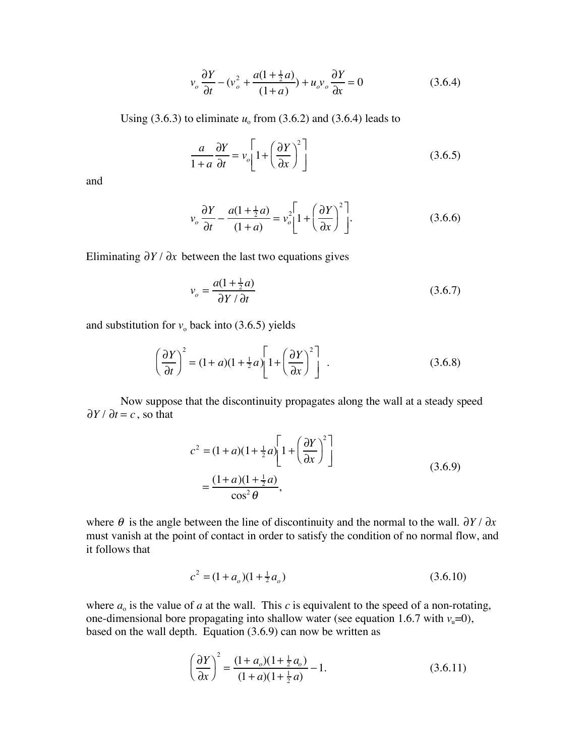$$
v_o \frac{\partial Y}{\partial t} - (v_o^2 + \frac{a(1 + \frac{1}{2}a)}{(1 + a)}) + u_o v_o \frac{\partial Y}{\partial x} = 0
$$
 (3.6.4)

Using  $(3.6.3)$  to eliminate  $u_0$  from  $(3.6.2)$  and  $(3.6.4)$  leads to

$$
\frac{a}{1+a}\frac{\partial Y}{\partial t} = v_o \left[1 + \left(\frac{\partial Y}{\partial x}\right)^2\right]
$$
\n(3.6.5)

and

$$
v_o \frac{\partial Y}{\partial t} - \frac{a(1 + \frac{1}{2}a)}{(1 + a)} = v_o^2 \left[ 1 + \left( \frac{\partial Y}{\partial x} \right)^2 \right].
$$
 (3.6.6)

Eliminating  $\partial Y / \partial x$  between the last two equations gives

$$
v_o = \frac{a(1 + \frac{1}{2}a)}{\partial Y / \partial t}
$$
 (3.6.7)

and substitution for  $v_0$  back into (3.6.5) yields

$$
\left(\frac{\partial Y}{\partial t}\right)^2 = (1+a)(1+\frac{1}{2}a)\left[1+\left(\frac{\partial Y}{\partial x}\right)^2\right] \tag{3.6.8}
$$

Now suppose that the discontinuity propagates along the wall at a steady speed  $\partial Y / \partial t = c$ , so that

$$
c2 = (1+a)(1+\frac{1}{2}a)\left[1+\left(\frac{\partial Y}{\partial x}\right)^{2}\right]
$$

$$
=\frac{(1+a)(1+\frac{1}{2}a)}{\cos^{2}\theta},
$$
(3.6.9)

where  $\theta$  is the angle between the line of discontinuity and the normal to the wall.  $\partial Y / \partial x$ must vanish at the point of contact in order to satisfy the condition of no normal flow, and it follows that

$$
c^2 = (1 + a_o)(1 + \frac{1}{2}a_o)
$$
\n(3.6.10)

where  $a_0$  is the value of  $a$  at the wall. This  $c$  is equivalent to the speed of a non-rotating, one-dimensional bore propagating into shallow water (see equation 1.6.7 with  $v<sub>u</sub>=0$ ), based on the wall depth. Equation (3.6.9) can now be written as

$$
\left(\frac{\partial Y}{\partial x}\right)^2 = \frac{(1+a_o)(1+\frac{1}{2}a_o)}{(1+a)(1+\frac{1}{2}a)} - 1.
$$
\n(3.6.11)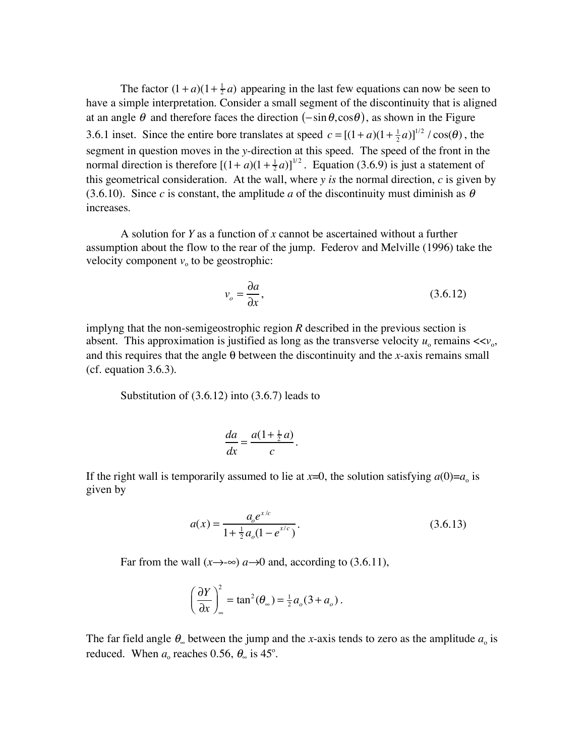The factor  $(1 + a)(1 + \frac{1}{2}a)$  appearing in the last few equations can now be seen to have a simple interpretation. Consider a small segment of the discontinuity that is aligned at an angle  $\theta$  and therefore faces the direction  $(-\sin \theta, \cos \theta)$ , as shown in the Figure 3.6.1 inset. Since the entire bore translates at speed  $c = [(1 + a)(1 + \frac{1}{2}a)]^{1/2} / \cos(\theta)$ , the segment in question moves in the *y*-direction at this speed. The speed of the front in the normal direction is therefore  $[(1 + a)(1 + \frac{1}{2}a)]^{1/2}$ . Equation (3.6.9) is just a statement of this geometrical consideration. At the wall, where  $y$  *is* the normal direction,  $c$  is given by (3.6.10). Since *c* is constant, the amplitude *a* of the discontinuity must diminish as  $\theta$ increases.

A solution for *Y* as a function of *x* cannot be ascertained without a further assumption about the flow to the rear of the jump. Federov and Melville (1996) take the velocity component  $v_0$  to be geostrophic:

$$
v_o = \frac{\partial a}{\partial x},\tag{3.6.12}
$$

implyng that the non-semigeostrophic region *R* described in the previous section is absent. This approximation is justified as long as the transverse velocity  $u_0$  remains  $<,$ and this requires that the angle  $\theta$  between the discontinuity and the *x*-axis remains small (cf. equation 3.6.3).

Substitution of (3.6.12) into (3.6.7) leads to

$$
\frac{da}{dx} = \frac{a(1 + \frac{1}{2}a)}{c}.
$$

If the right wall is temporarily assumed to lie at  $x=0$ , the solution satisfying  $a(0)=a_0$  is given by

$$
a(x) = \frac{a_0 e^{x/c}}{1 + \frac{1}{2} a_0 (1 - e^{x/c})}.
$$
\n(3.6.13)

Far from the wall  $(x \rightarrow \infty)$  *a* $\rightarrow$ 0 and, according to (3.6.11),

$$
\left(\frac{\partial Y}{\partial x}\right)_\infty^2 = \tan^2(\theta_\infty) = \frac{1}{2}a_o(3 + a_o).
$$

The far field angle  $\theta_{\infty}$  between the jump and the *x*-axis tends to zero as the amplitude  $a_{\infty}$  is reduced. When  $a_0$  reaches 0.56,  $\theta_{\infty}$  is 45°.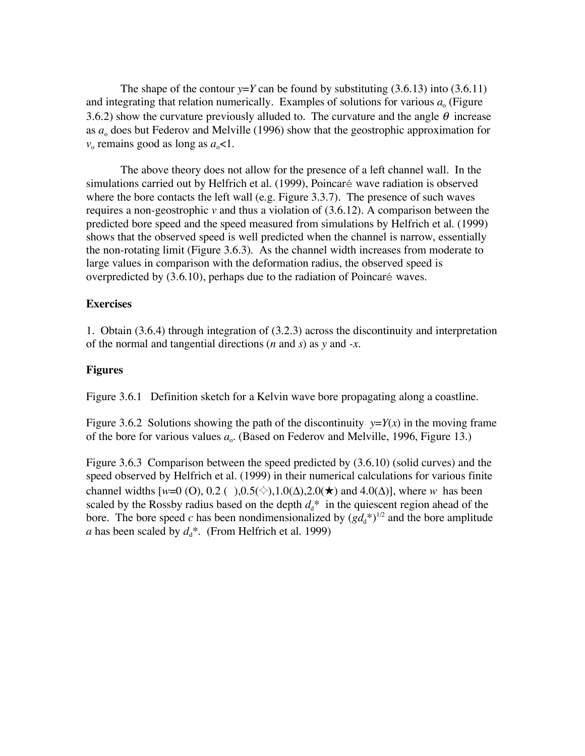The shape of the contour  $y = Y$  can be found by substituting (3.6.13) into (3.6.11) and integrating that relation numerically. Examples of solutions for various  $a<sub>o</sub>$  (Figure 3.6.2) show the curvature previously alluded to. The curvature and the angle  $\theta$  increase as  $a_0$  does but Federov and Melville (1996) show that the geostrophic approximation for  $v_0$  remains good as long as  $a_0$ <1.

The above theory does not allow for the presence of a left channel wall. In the simulations carried out by Helfrich et al. (1999), Poincaré wave radiation is observed where the bore contacts the left wall (e.g. Figure 3.3.7). The presence of such waves requires a non-geostrophic *v* and thus a violation of (3.6.12). A comparison between the predicted bore speed and the speed measured from simulations by Helfrich et al. (1999) shows that the observed speed is well predicted when the channel is narrow, essentially the non-rotating limit (Figure 3.6.3). As the channel width increases from moderate to large values in comparison with the deformation radius, the observed speed is overpredicted by (3.6.10), perhaps due to the radiation of Poincaré waves.

## **Exercises**

1. Obtain (3.6.4) through integration of (3.2.3) across the discontinuity and interpretation of the normal and tangential directions (*n* and *s*) as *y* and *-x*.

## **Figures**

Figure 3.6.1 Definition sketch for a Kelvin wave bore propagating along a coastline.

Figure 3.6.2 Solutions showing the path of the discontinuity  $y=Y(x)$  in the moving frame of the bore for various values  $a_{\alpha}$ . (Based on Federov and Melville, 1996, Figure 13.)

Figure 3.6.3 Comparison between the speed predicted by (3.6.10) (solid curves) and the speed observed by Helfrich et al. (1999) in their numerical calculations for various finite channel widths  $[w=0 (0), 0.2 ( ) ,0.5(*) ,1.0(\Delta),2.0(*) )$  and  $4.0(\Delta)$ ], where *w* has been scaled by the Rossby radius based on the depth  $d_d^*$  in the quiescent region ahead of the bore. The bore speed *c* has been nondimensionalized by  $(gd_d^*)^{1/2}$  and the bore amplitude *a* has been scaled by  $d_d^*$ . (From Helfrich et al. 1999)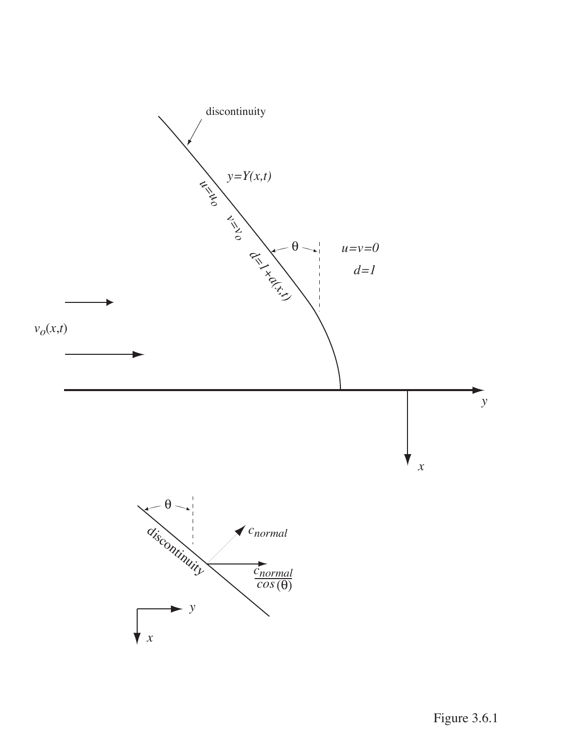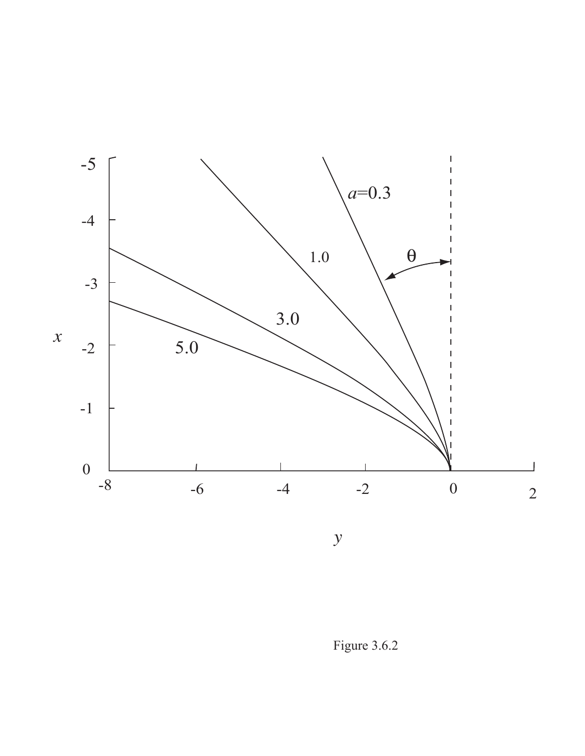

 $\mathcal{Y}$ 

Figure 3.6.2